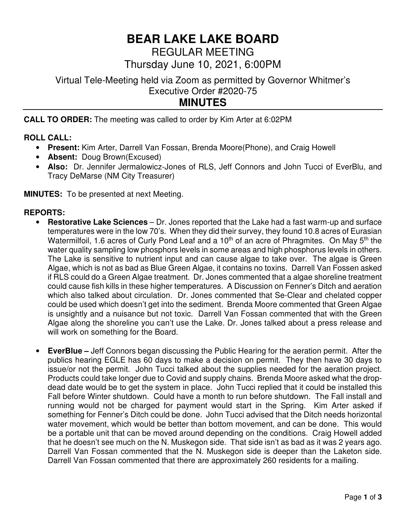# **BEAR LAKE LAKE BOARD**

REGULAR MEETING

Thursday June 10, 2021, 6:00PM

Virtual Tele-Meeting held via Zoom as permitted by Governor Whitmer's Executive Order #2020-75

## **MINUTES**

**CALL TO ORDER:** The meeting was called to order by Kim Arter at 6:02PM

## **ROLL CALL:**

- **Present:** Kim Arter, Darrell Van Fossan, Brenda Moore(Phone), and Craig Howell
- **Absent:** Doug Brown(Excused)
- **Also:** Dr. Jennifer Jermalowicz-Jones of RLS, Jeff Connors and John Tucci of EverBlu, and Tracy DeMarse (NM City Treasurer)

**MINUTES:** To be presented at next Meeting.

## **REPORTS:**

- **Restorative Lake Sciences** Dr. Jones reported that the Lake had a fast warm-up and surface temperatures were in the low 70's. When they did their survey, they found 10.8 acres of Eurasian Watermilfoil, 1.6 acres of Curly Pond Leaf and a  $10<sup>th</sup>$  of an acre of Phragmites. On May  $5<sup>th</sup>$  the water quality sampling low phosphors levels in some areas and high phosphorus levels in others. The Lake is sensitive to nutrient input and can cause algae to take over. The algae is Green Algae, which is not as bad as Blue Green Algae, it contains no toxins. Darrell Van Fossen asked if RLS could do a Green Algae treatment. Dr. Jones commented that a algae shoreline treatment could cause fish kills in these higher temperatures. A Discussion on Fenner's Ditch and aeration which also talked about circulation. Dr. Jones commented that Se-Clear and chelated copper could be used which doesn't get into the sediment. Brenda Moore commented that Green Algae is unsightly and a nuisance but not toxic. Darrell Van Fossan commented that with the Green Algae along the shoreline you can't use the Lake. Dr. Jones talked about a press release and will work on something for the Board.
- **EverBlue** Jeff Connors began discussing the Public Hearing for the aeration permit. After the publics hearing EGLE has 60 days to make a decision on permit. They then have 30 days to issue/or not the permit. John Tucci talked about the supplies needed for the aeration project. Products could take longer due to Covid and supply chains. Brenda Moore asked what the dropdead date would be to get the system in place. John Tucci replied that it could be installed this Fall before Winter shutdown. Could have a month to run before shutdown. The Fall install and running would not be charged for payment would start in the Spring. Kim Arter asked if something for Fenner's Ditch could be done. John Tucci advised that the Ditch needs horizontal water movement, which would be better than bottom movement, and can be done. This would be a portable unit that can be moved around depending on the conditions. Craig Howell added that he doesn't see much on the N. Muskegon side. That side isn't as bad as it was 2 years ago. Darrell Van Fossan commented that the N. Muskegon side is deeper than the Laketon side. Darrell Van Fossan commented that there are approximately 260 residents for a mailing.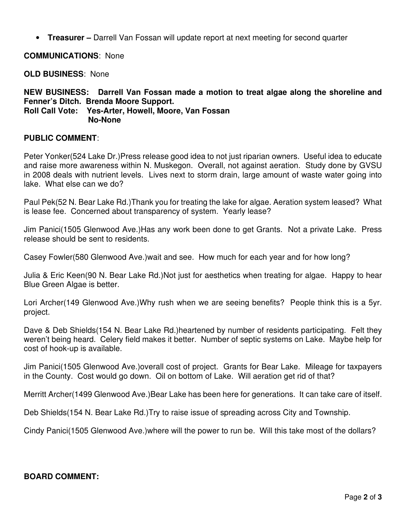• **Treasurer –** Darrell Van Fossan will update report at next meeting for second quarter

**COMMUNICATIONS**: None

**OLD BUSINESS**: None

**NEW BUSINESS: Darrell Van Fossan made a motion to treat algae along the shoreline and Fenner's Ditch. Brenda Moore Support. Roll Call Vote: Yes-Arter, Howell, Moore, Van Fossan No-None** 

#### **PUBLIC COMMENT**:

Peter Yonker(524 Lake Dr.)Press release good idea to not just riparian owners. Useful idea to educate and raise more awareness within N. Muskegon. Overall, not against aeration. Study done by GVSU in 2008 deals with nutrient levels. Lives next to storm drain, large amount of waste water going into lake. What else can we do?

Paul Pek(52 N. Bear Lake Rd.)Thank you for treating the lake for algae. Aeration system leased? What is lease fee. Concerned about transparency of system. Yearly lease?

Jim Panici(1505 Glenwood Ave.)Has any work been done to get Grants. Not a private Lake. Press release should be sent to residents.

Casey Fowler(580 Glenwood Ave.)wait and see. How much for each year and for how long?

Julia & Eric Keen(90 N. Bear Lake Rd.)Not just for aesthetics when treating for algae. Happy to hear Blue Green Algae is better.

Lori Archer(149 Glenwood Ave.)Why rush when we are seeing benefits? People think this is a 5yr. project.

Dave & Deb Shields(154 N. Bear Lake Rd.)heartened by number of residents participating. Felt they weren't being heard. Celery field makes it better. Number of septic systems on Lake. Maybe help for cost of hook-up is available.

Jim Panici(1505 Glenwood Ave.)overall cost of project. Grants for Bear Lake. Mileage for taxpayers in the County. Cost would go down. Oil on bottom of Lake. Will aeration get rid of that?

Merritt Archer(1499 Glenwood Ave.)Bear Lake has been here for generations. It can take care of itself.

Deb Shields(154 N. Bear Lake Rd.)Try to raise issue of spreading across City and Township.

Cindy Panici(1505 Glenwood Ave.)where will the power to run be. Will this take most of the dollars?

#### **BOARD COMMENT:**